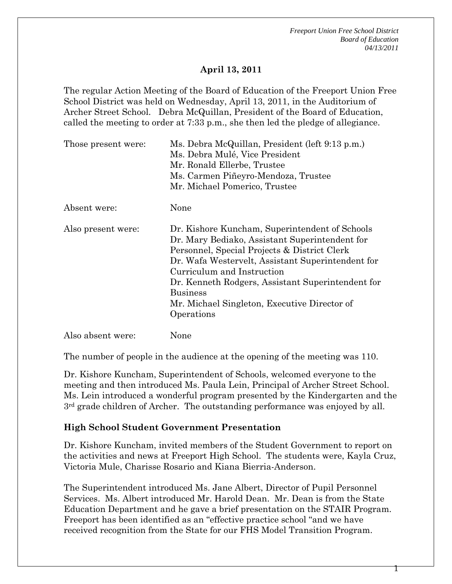*Freeport Union Free School District Board of Education 04/13/2011* 

### **April 13, 2011**

The regular Action Meeting of the Board of Education of the Freeport Union Free School District was held on Wednesday, April 13, 2011, in the Auditorium of Archer Street School. Debra McQuillan, President of the Board of Education, called the meeting to order at 7:33 p.m., she then led the pledge of allegiance.

| Those present were: | Ms. Debra McQuillan, President (left 9:13 p.m.)<br>Ms. Debra Mulé, Vice President<br>Mr. Ronald Ellerbe, Trustee<br>Ms. Carmen Piñeyro-Mendoza, Trustee                                                                                                                                                                                                                   |
|---------------------|---------------------------------------------------------------------------------------------------------------------------------------------------------------------------------------------------------------------------------------------------------------------------------------------------------------------------------------------------------------------------|
|                     | Mr. Michael Pomerico, Trustee                                                                                                                                                                                                                                                                                                                                             |
| Absent were:        | None                                                                                                                                                                                                                                                                                                                                                                      |
| Also present were:  | Dr. Kishore Kuncham, Superintendent of Schools<br>Dr. Mary Bediako, Assistant Superintendent for<br>Personnel, Special Projects & District Clerk<br>Dr. Wafa Westervelt, Assistant Superintendent for<br>Curriculum and Instruction<br>Dr. Kenneth Rodgers, Assistant Superintendent for<br><b>Business</b><br>Mr. Michael Singleton, Executive Director of<br>Operations |
| Also absent were:   | None                                                                                                                                                                                                                                                                                                                                                                      |

The number of people in the audience at the opening of the meeting was 110.

Dr. Kishore Kuncham, Superintendent of Schools, welcomed everyone to the meeting and then introduced Ms. Paula Lein, Principal of Archer Street School. Ms. Lein introduced a wonderful program presented by the Kindergarten and the 3rd grade children of Archer. The outstanding performance was enjoyed by all.

#### **High School Student Government Presentation**

Dr. Kishore Kuncham, invited members of the Student Government to report on the activities and news at Freeport High School. The students were, Kayla Cruz, Victoria Mule, Charisse Rosario and Kiana Bierria-Anderson.

The Superintendent introduced Ms. Jane Albert, Director of Pupil Personnel Services. Ms. Albert introduced Mr. Harold Dean. Mr. Dean is from the State Education Department and he gave a brief presentation on the STAIR Program. Freeport has been identified as an "effective practice school "and we have received recognition from the State for our FHS Model Transition Program.

т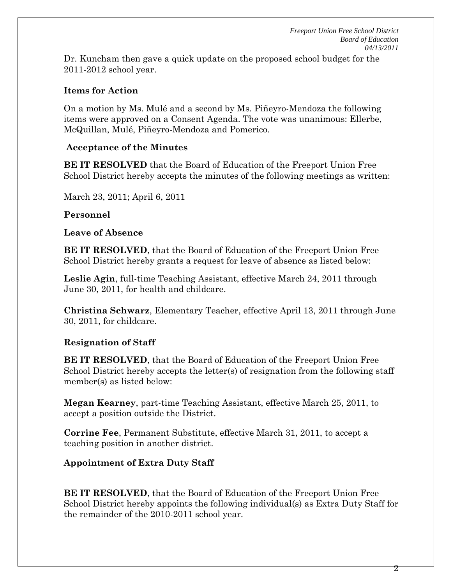Dr. Kuncham then gave a quick update on the proposed school budget for the 2011-2012 school year.

### **Items for Action**

On a motion by Ms. Mulé and a second by Ms. Piñeyro-Mendoza the following items were approved on a Consent Agenda. The vote was unanimous: Ellerbe, McQuillan, Mulé, Piñeyro-Mendoza and Pomerico.

### **Acceptance of the Minutes**

**BE IT RESOLVED** that the Board of Education of the Freeport Union Free School District hereby accepts the minutes of the following meetings as written:

March 23, 2011; April 6, 2011

# **Personnel**

## **Leave of Absence**

**BE IT RESOLVED**, that the Board of Education of the Freeport Union Free School District hereby grants a request for leave of absence as listed below:

**Leslie Agin**, full-time Teaching Assistant, effective March 24, 2011 through June 30, 2011, for health and childcare.

**Christina Schwarz**, Elementary Teacher, effective April 13, 2011 through June 30, 2011, for childcare.

# **Resignation of Staff**

**BE IT RESOLVED**, that the Board of Education of the Freeport Union Free School District hereby accepts the letter(s) of resignation from the following staff member(s) as listed below:

**Megan Kearney**, part-time Teaching Assistant, effective March 25, 2011, to accept a position outside the District.

**Corrine Fee**, Permanent Substitute, effective March 31, 2011, to accept a teaching position in another district.

# **Appointment of Extra Duty Staff**

**BE IT RESOLVED**, that the Board of Education of the Freeport Union Free School District hereby appoints the following individual(s) as Extra Duty Staff for the remainder of the 2010-2011 school year.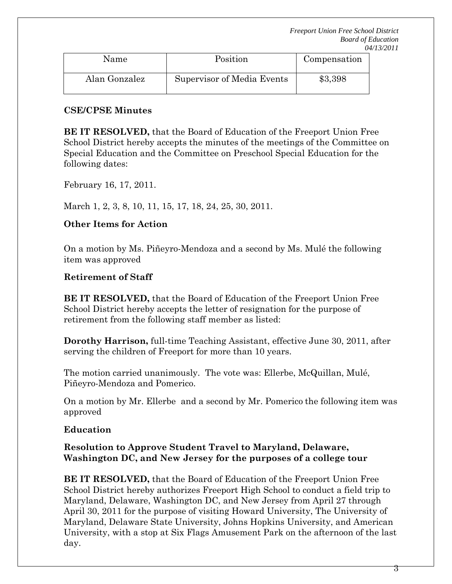| Name          | Position                   | Compensation |
|---------------|----------------------------|--------------|
| Alan Gonzalez | Supervisor of Media Events | \$3,398      |

### **CSE/CPSE Minutes**

**BE IT RESOLVED,** that the Board of Education of the Freeport Union Free School District hereby accepts the minutes of the meetings of the Committee on Special Education and the Committee on Preschool Special Education for the following dates:

February 16, 17, 2011.

March 1, 2, 3, 8, 10, 11, 15, 17, 18, 24, 25, 30, 2011.

# **Other Items for Action**

On a motion by Ms. Piñeyro-Mendoza and a second by Ms. Mulé the following item was approved

# **Retirement of Staff**

**BE IT RESOLVED,** that the Board of Education of the Freeport Union Free School District hereby accepts the letter of resignation for the purpose of retirement from the following staff member as listed:

**Dorothy Harrison,** full-time Teaching Assistant, effective June 30, 2011, after serving the children of Freeport for more than 10 years.

The motion carried unanimously. The vote was: Ellerbe, McQuillan, Mulé, Piñeyro-Mendoza and Pomerico.

On a motion by Mr. Ellerbe and a second by Mr. Pomerico the following item was approved

# **Education**

## **Resolution to Approve Student Travel to Maryland, Delaware, Washington DC, and New Jersey for the purposes of a college tour**

**BE IT RESOLVED,** that the Board of Education of the Freeport Union Free School District hereby authorizes Freeport High School to conduct a field trip to Maryland, Delaware, Washington DC, and New Jersey from April 27 through April 30, 2011 for the purpose of visiting Howard University, The University of Maryland, Delaware State University, Johns Hopkins University, and American University, with a stop at Six Flags Amusement Park on the afternoon of the last day.